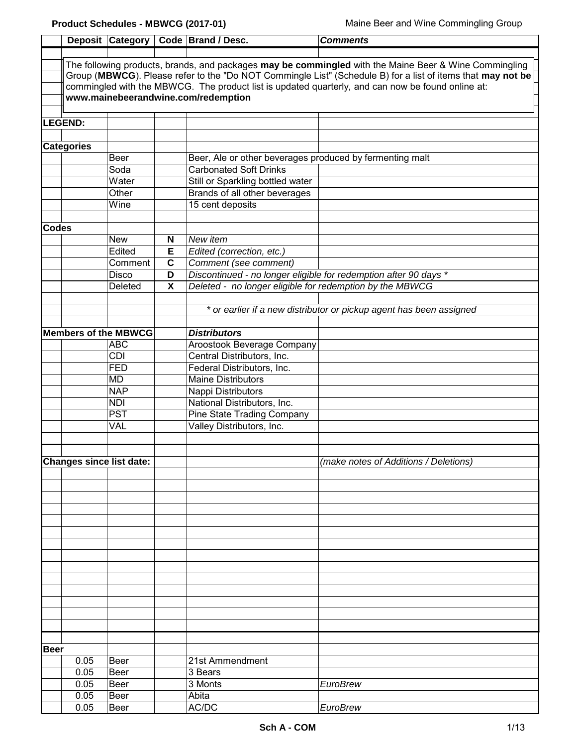|             |                                                                                                       |                                 |                                                                                                             | Deposit Category   Code   Brand / Desc.                  | <b>Comments</b>                                                                                   |  |  |
|-------------|-------------------------------------------------------------------------------------------------------|---------------------------------|-------------------------------------------------------------------------------------------------------------|----------------------------------------------------------|---------------------------------------------------------------------------------------------------|--|--|
|             |                                                                                                       |                                 |                                                                                                             |                                                          |                                                                                                   |  |  |
|             | The following products, brands, and packages may be commingled with the Maine Beer & Wine Commingling |                                 |                                                                                                             |                                                          |                                                                                                   |  |  |
|             |                                                                                                       |                                 | Group (MBWCG). Please refer to the "Do NOT Commingle List" (Schedule B) for a list of items that may not be |                                                          |                                                                                                   |  |  |
|             |                                                                                                       |                                 |                                                                                                             |                                                          | commingled with the MBWCG. The product list is updated quarterly, and can now be found online at: |  |  |
|             |                                                                                                       |                                 |                                                                                                             | www.mainebeerandwine.com/redemption                      |                                                                                                   |  |  |
|             |                                                                                                       |                                 |                                                                                                             |                                                          |                                                                                                   |  |  |
|             | <b>LEGEND:</b>                                                                                        |                                 |                                                                                                             |                                                          |                                                                                                   |  |  |
|             |                                                                                                       |                                 |                                                                                                             |                                                          |                                                                                                   |  |  |
|             | <b>Categories</b>                                                                                     |                                 |                                                                                                             |                                                          |                                                                                                   |  |  |
|             |                                                                                                       | Beer                            |                                                                                                             | Beer, Ale or other beverages produced by fermenting malt |                                                                                                   |  |  |
|             |                                                                                                       | Soda                            |                                                                                                             | <b>Carbonated Soft Drinks</b>                            |                                                                                                   |  |  |
|             |                                                                                                       | Water                           |                                                                                                             | Still or Sparkling bottled water                         |                                                                                                   |  |  |
|             |                                                                                                       | Other                           |                                                                                                             | Brands of all other beverages                            |                                                                                                   |  |  |
|             |                                                                                                       | Wine                            |                                                                                                             | 15 cent deposits                                         |                                                                                                   |  |  |
|             |                                                                                                       |                                 |                                                                                                             |                                                          |                                                                                                   |  |  |
| Codes       |                                                                                                       |                                 |                                                                                                             |                                                          |                                                                                                   |  |  |
|             |                                                                                                       | <b>New</b>                      | N                                                                                                           | New item                                                 |                                                                                                   |  |  |
|             |                                                                                                       | Edited                          | Е                                                                                                           | Edited (correction, etc.)                                |                                                                                                   |  |  |
|             |                                                                                                       | Comment                         | $\mathbf c$                                                                                                 | Comment (see comment)                                    |                                                                                                   |  |  |
|             |                                                                                                       | Disco                           | D                                                                                                           |                                                          | Discontinued - no longer eligible for redemption after 90 days *                                  |  |  |
|             |                                                                                                       | Deleted                         | X                                                                                                           | Deleted - no longer eligible for redemption by the MBWCG |                                                                                                   |  |  |
|             |                                                                                                       |                                 |                                                                                                             |                                                          |                                                                                                   |  |  |
|             |                                                                                                       |                                 |                                                                                                             |                                                          | * or earlier if a new distributor or pickup agent has been assigned                               |  |  |
|             |                                                                                                       | <b>Members of the MBWCG</b>     |                                                                                                             | <b>Distributors</b>                                      |                                                                                                   |  |  |
|             |                                                                                                       | <b>ABC</b>                      |                                                                                                             | Aroostook Beverage Company                               |                                                                                                   |  |  |
|             |                                                                                                       | CDI                             |                                                                                                             | Central Distributors, Inc.                               |                                                                                                   |  |  |
|             |                                                                                                       | <b>FED</b>                      |                                                                                                             | Federal Distributors, Inc.                               |                                                                                                   |  |  |
|             |                                                                                                       | <b>MD</b>                       |                                                                                                             | <b>Maine Distributors</b>                                |                                                                                                   |  |  |
|             |                                                                                                       | <b>NAP</b>                      |                                                                                                             | Nappi Distributors                                       |                                                                                                   |  |  |
|             |                                                                                                       | <b>NDI</b>                      |                                                                                                             | National Distributors, Inc.                              |                                                                                                   |  |  |
|             |                                                                                                       | $\overline{PST}$                |                                                                                                             | <b>Pine State Trading Company</b>                        |                                                                                                   |  |  |
|             |                                                                                                       | VAL                             |                                                                                                             | Valley Distributors, Inc.                                |                                                                                                   |  |  |
|             |                                                                                                       |                                 |                                                                                                             |                                                          |                                                                                                   |  |  |
|             |                                                                                                       |                                 |                                                                                                             |                                                          |                                                                                                   |  |  |
|             |                                                                                                       | <b>Changes since list date:</b> |                                                                                                             |                                                          | (make notes of Additions / Deletions)                                                             |  |  |
|             |                                                                                                       |                                 |                                                                                                             |                                                          |                                                                                                   |  |  |
|             |                                                                                                       |                                 |                                                                                                             |                                                          |                                                                                                   |  |  |
|             |                                                                                                       |                                 |                                                                                                             |                                                          |                                                                                                   |  |  |
|             |                                                                                                       |                                 |                                                                                                             |                                                          |                                                                                                   |  |  |
|             |                                                                                                       |                                 |                                                                                                             |                                                          |                                                                                                   |  |  |
|             |                                                                                                       |                                 |                                                                                                             |                                                          |                                                                                                   |  |  |
|             |                                                                                                       |                                 |                                                                                                             |                                                          |                                                                                                   |  |  |
|             |                                                                                                       |                                 |                                                                                                             |                                                          |                                                                                                   |  |  |
|             |                                                                                                       |                                 |                                                                                                             |                                                          |                                                                                                   |  |  |
|             |                                                                                                       |                                 |                                                                                                             |                                                          |                                                                                                   |  |  |
|             |                                                                                                       |                                 |                                                                                                             |                                                          |                                                                                                   |  |  |
|             |                                                                                                       |                                 |                                                                                                             |                                                          |                                                                                                   |  |  |
|             |                                                                                                       |                                 |                                                                                                             |                                                          |                                                                                                   |  |  |
|             |                                                                                                       |                                 |                                                                                                             |                                                          |                                                                                                   |  |  |
|             |                                                                                                       |                                 |                                                                                                             |                                                          |                                                                                                   |  |  |
| <b>Beer</b> |                                                                                                       |                                 |                                                                                                             |                                                          |                                                                                                   |  |  |
|             | 0.05                                                                                                  | Beer                            |                                                                                                             | 21st Ammendment                                          |                                                                                                   |  |  |
|             | 0.05                                                                                                  | Beer                            |                                                                                                             | 3 Bears                                                  |                                                                                                   |  |  |
|             | 0.05                                                                                                  | Beer                            |                                                                                                             | 3 Monts                                                  | <b>EuroBrew</b>                                                                                   |  |  |
|             | 0.05                                                                                                  | Beer                            |                                                                                                             | Abita                                                    |                                                                                                   |  |  |
|             | 0.05                                                                                                  | Beer                            |                                                                                                             | AC/DC                                                    | EuroBrew                                                                                          |  |  |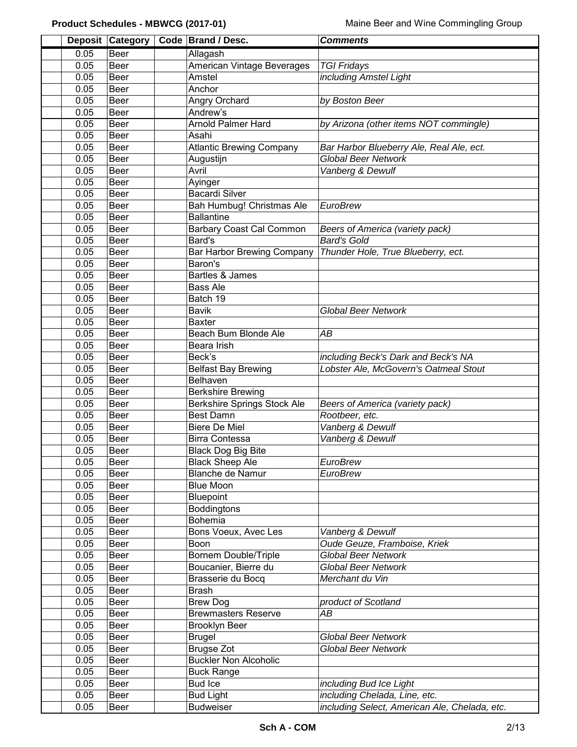|                     | Deposit Category | Code   Brand / Desc.               | <b>Comments</b>                               |  |
|---------------------|------------------|------------------------------------|-----------------------------------------------|--|
| 0.05                | Beer             | Allagash                           |                                               |  |
| 0.05                | <b>Beer</b>      | American Vintage Beverages         | <b>TGI Fridays</b>                            |  |
| 0.05                | Beer             | Amstel                             | including Amstel Light                        |  |
| 0.05                | Beer             | Anchor                             |                                               |  |
| 0.05                | Beer             | Angry Orchard                      | by Boston Beer                                |  |
| 0.05                | Beer             | Andrew's                           |                                               |  |
| 0.05                | Beer             | <b>Arnold Palmer Hard</b>          | by Arizona (other items NOT commingle)        |  |
| 0.05                | Beer             | Asahi                              |                                               |  |
| 0.05                | Beer             | <b>Atlantic Brewing Company</b>    | Bar Harbor Blueberry Ale, Real Ale, ect.      |  |
| 0.05                | Beer             | Augustijn                          | <b>Global Beer Network</b>                    |  |
| 0.05                | Beer             | Avril                              | Vanberg & Dewulf                              |  |
| 0.05                | Beer             | Ayinger                            |                                               |  |
| 0.05                | Beer             | <b>Bacardi Silver</b>              |                                               |  |
| 0.05                | Beer             | Bah Humbug! Christmas Ale          | EuroBrew                                      |  |
| 0.05                | Beer             | <b>Ballantine</b>                  |                                               |  |
| 0.05                | Beer             | <b>Barbary Coast Cal Common</b>    | Beers of America (variety pack)               |  |
| 0.05                | Beer             | Bard's                             | <b>Bard's Gold</b>                            |  |
| 0.05                | Beer             | <b>Bar Harbor Brewing Company</b>  | Thunder Hole, True Blueberry, ect.            |  |
| 0.05                | <b>Beer</b>      | Baron's                            |                                               |  |
| 0.05                | <b>Beer</b>      | Bartles & James                    |                                               |  |
| 0.05                | <b>Beer</b>      | <b>Bass Ale</b>                    |                                               |  |
| 0.05                | <b>Beer</b>      | Batch 19                           |                                               |  |
| 0.05                | Beer             | <b>Bavik</b>                       | <b>Global Beer Network</b>                    |  |
| 0.05                | Beer             | <b>Baxter</b>                      |                                               |  |
| 0.05<br><b>Beer</b> |                  | Beach Bum Blonde Ale               | AB                                            |  |
| 0.05                | Beer             | Beara Irish                        |                                               |  |
| 0.05                | Beer             | Beck's                             | including Beck's Dark and Beck's NA           |  |
| 0.05                | Beer             | <b>Belfast Bay Brewing</b>         | Lobster Ale, McGovern's Oatmeal Stout         |  |
| 0.05                | Beer             | Belhaven                           |                                               |  |
| 0.05                | Beer             | <b>Berkshire Brewing</b>           |                                               |  |
| 0.05                | Beer             | <b>Berkshire Springs Stock Ale</b> | Beers of America (variety pack)               |  |
| 0.05                | Beer             | <b>Best Damn</b>                   | Rootbeer, etc.                                |  |
| 0.05                | Beer             | <b>Biere De Miel</b>               | Vanberg & Dewulf                              |  |
| 0.05                | Beer             | <b>Birra Contessa</b>              | Vanberg & Dewulf                              |  |
| 0.05                | Beer             | <b>Black Dog Big Bite</b>          |                                               |  |
| 0.05                | Beer             | <b>Black Sheep Ale</b>             | EuroBrew                                      |  |
| 0.05                | Beer             | <b>Blanche de Namur</b>            | EuroBrew                                      |  |
| 0.05                | Beer             | <b>Blue Moon</b>                   |                                               |  |
| 0.05                | Beer             | <b>Bluepoint</b>                   |                                               |  |
| 0.05                | Beer             | <b>Boddingtons</b>                 |                                               |  |
| 0.05                | Beer             | Bohemia                            |                                               |  |
| 0.05                | Beer             | Bons Voeux, Avec Les               | Vanberg & Dewulf                              |  |
| 0.05                | Beer             | Boon                               | Oude Geuze, Framboise, Kriek                  |  |
| 0.05                | Beer             | <b>Bornem Double/Triple</b>        | <b>Global Beer Network</b>                    |  |
| 0.05                | Beer             | Boucanier, Bierre du               | <b>Global Beer Network</b>                    |  |
| 0.05                | Beer             | Brasserie du Bocq                  | Merchant du Vin                               |  |
| 0.05                | Beer             | <b>Brash</b>                       |                                               |  |
| 0.05                | Beer             | <b>Brew Dog</b>                    | product of Scotland                           |  |
| 0.05                | Beer             | <b>Brewmasters Reserve</b>         | AВ                                            |  |
| 0.05                | Beer             | <b>Brooklyn Beer</b>               |                                               |  |
| 0.05                | Beer             | <b>Brugel</b>                      | <b>Global Beer Network</b>                    |  |
| 0.05                | Beer             | <b>Brugse Zot</b>                  | <b>Global Beer Network</b>                    |  |
| 0.05                | Beer             | <b>Buckler Non Alcoholic</b>       |                                               |  |
| 0.05                | Beer             | <b>Buck Range</b>                  |                                               |  |
| 0.05                | Beer             | <b>Bud Ice</b>                     | including Bud Ice Light                       |  |
| 0.05                | Beer             | <b>Bud Light</b>                   | including Chelada, Line, etc.                 |  |
| 0.05                | Beer             | <b>Budweiser</b>                   | including Select, American Ale, Chelada, etc. |  |
|                     |                  |                                    |                                               |  |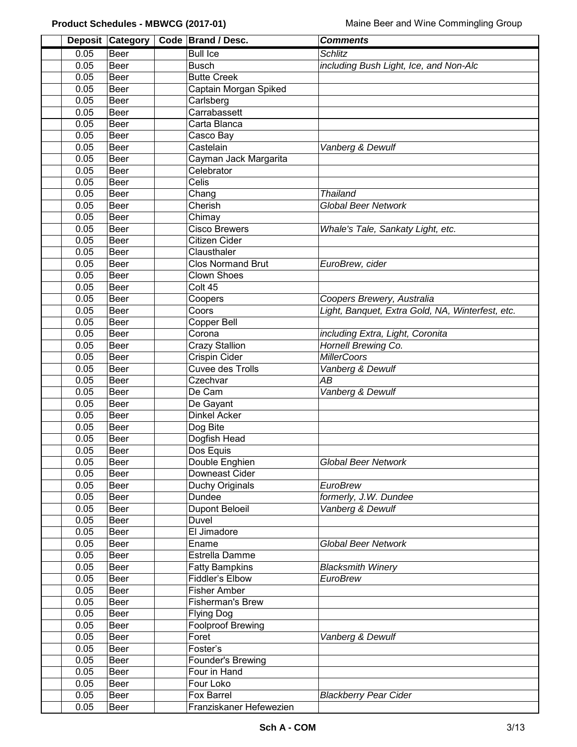|      | Deposit Category | Code   Brand / Desc.     | <b>Comments</b>                                  |
|------|------------------|--------------------------|--------------------------------------------------|
| 0.05 | Beer             | <b>Bull Ice</b>          | <b>Schlitz</b>                                   |
| 0.05 | Beer             | <b>Busch</b>             | including Bush Light, Ice, and Non-Alc           |
| 0.05 | Beer             | <b>Butte Creek</b>       |                                                  |
| 0.05 | Beer             | Captain Morgan Spiked    |                                                  |
| 0.05 | <b>Beer</b>      | Carlsberg                |                                                  |
| 0.05 | Beer             | Carrabassett             |                                                  |
| 0.05 | Beer             | Carta Blanca             |                                                  |
| 0.05 | Beer             | Casco Bay                |                                                  |
| 0.05 | <b>Beer</b>      | Castelain                | Vanberg & Dewulf                                 |
| 0.05 | Beer             | Cayman Jack Margarita    |                                                  |
| 0.05 | <b>Beer</b>      | Celebrator               |                                                  |
| 0.05 | Beer             | Celis                    |                                                  |
| 0.05 | Beer             | Chang                    | <b>Thailand</b>                                  |
| 0.05 | Beer             | Cherish                  | <b>Global Beer Network</b>                       |
| 0.05 | Beer             | Chimay                   |                                                  |
| 0.05 | Beer             | <b>Cisco Brewers</b>     | Whale's Tale, Sankaty Light, etc.                |
| 0.05 | Beer             | Citizen Cider            |                                                  |
| 0.05 | Beer             | Clausthaler              |                                                  |
| 0.05 | Beer             | <b>Clos Normand Brut</b> | EuroBrew, cider                                  |
| 0.05 | <b>Beer</b>      | Clown Shoes              |                                                  |
| 0.05 | <b>Beer</b>      | Colt 45                  |                                                  |
| 0.05 | Beer             | Coopers                  | Coopers Brewery, Australia                       |
| 0.05 | <b>Beer</b>      | Coors                    | Light, Banquet, Extra Gold, NA, Winterfest, etc. |
| 0.05 | <b>Beer</b>      | Copper Bell              |                                                  |
|      |                  | Corona                   |                                                  |
| 0.05 | Beer             |                          | including Extra, Light, Coronita                 |
| 0.05 | Beer             | <b>Crazy Stallion</b>    | Hornell Brewing Co.                              |
| 0.05 | Beer             | Crispin Cider            | <b>MillerCoors</b>                               |
| 0.05 | Beer             | Cuvee des Trolls         | Vanberg & Dewulf                                 |
| 0.05 | Beer             | Czechvar                 | AB                                               |
| 0.05 | Beer             | De Cam                   | Vanberg & Dewulf                                 |
| 0.05 | Beer             | De Gayant                |                                                  |
| 0.05 | Beer             | Dinkel Acker             |                                                  |
| 0.05 | Beer             | Dog Bite                 |                                                  |
| 0.05 | Beer             | Dogfish Head             |                                                  |
| 0.05 | Beer             | Dos Equis                |                                                  |
| 0.05 | Beer             | Double Enghien           | Global Beer Network                              |
| 0.05 | Beer             | Downeast Cider           |                                                  |
| 0.05 | Beer             | Duchy Originals          | EuroBrew                                         |
| 0.05 | <b>Beer</b>      | Dundee                   | formerly, J.W. Dundee                            |
| 0.05 | Beer             | <b>Dupont Beloeil</b>    | Vanberg & Dewulf                                 |
| 0.05 | Beer             | Duvel                    |                                                  |
| 0.05 | Beer             | El Jimadore              |                                                  |
| 0.05 | Beer             | Ename                    | <b>Global Beer Network</b>                       |
| 0.05 | Beer             | Estrella Damme           |                                                  |
| 0.05 | Beer             | <b>Fatty Bampkins</b>    | <b>Blacksmith Winery</b>                         |
| 0.05 | Beer             | Fiddler's Elbow          | EuroBrew                                         |
| 0.05 | Beer             | <b>Fisher Amber</b>      |                                                  |
| 0.05 | Beer             | <b>Fisherman's Brew</b>  |                                                  |
| 0.05 | Beer             | <b>Flying Dog</b>        |                                                  |
| 0.05 | Beer             | <b>Foolproof Brewing</b> |                                                  |
| 0.05 | Beer             | Foret                    | Vanberg & Dewulf                                 |
| 0.05 | Beer             | Foster's                 |                                                  |
| 0.05 | Beer             | Founder's Brewing        |                                                  |
| 0.05 | Beer             | Four in Hand             |                                                  |
| 0.05 | Beer             | Four Loko                |                                                  |
| 0.05 | Beer             | Fox Barrel               | <b>Blackberry Pear Cider</b>                     |
| 0.05 | Beer             | Franziskaner Hefewezien  |                                                  |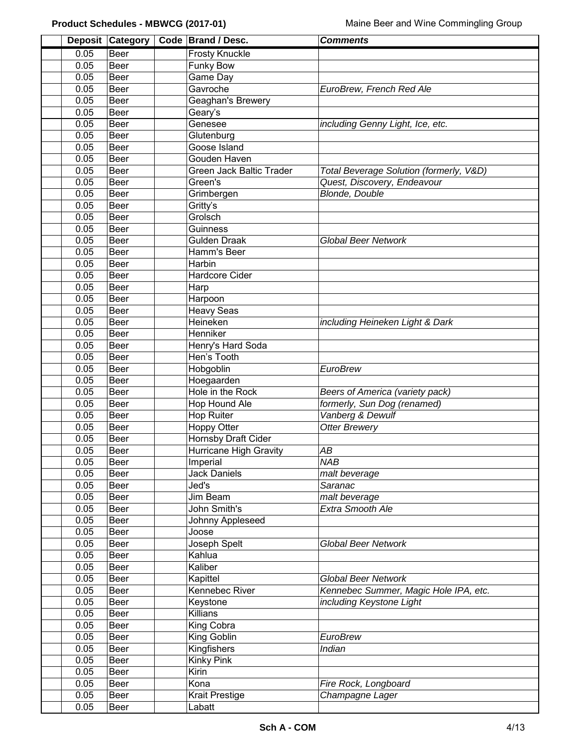| <b>Deposit</b> | <b>Category</b> | Code   Brand / Desc.     | <b>Comments</b>                         |
|----------------|-----------------|--------------------------|-----------------------------------------|
| 0.05           | Beer            | <b>Frosty Knuckle</b>    |                                         |
| 0.05           | <b>Beer</b>     | <b>Funky Bow</b>         |                                         |
| 0.05           | Beer            | <b>Game Day</b>          |                                         |
| 0.05           | Beer            | Gavroche                 | EuroBrew, French Red Ale                |
| 0.05           | Beer            | Geaghan's Brewery        |                                         |
| 0.05           | Beer            | Geary's                  |                                         |
| 0.05           | Beer            | Genesee                  | including Genny Light, Ice, etc.        |
| 0.05           | Beer            | Glutenburg               |                                         |
| 0.05           | Beer            | Goose Island             |                                         |
| 0.05           | Beer            | Gouden Haven             |                                         |
| 0.05           | Beer            | Green Jack Baltic Trader | Total Beverage Solution (formerly, V&D) |
| 0.05           | Beer            | Green's                  | Quest, Discovery, Endeavour             |
| 0.05           | Beer            | Grimbergen               | <b>Blonde, Double</b>                   |
| 0.05           | <b>Beer</b>     | Gritty's                 |                                         |
| 0.05           | <b>Beer</b>     | Grolsch                  |                                         |
| 0.05           | <b>Beer</b>     | Guinness                 |                                         |
| 0.05           | <b>Beer</b>     | <b>Gulden Draak</b>      | <b>Global Beer Network</b>              |
| 0.05           | Beer            | Hamm's Beer              |                                         |
| 0.05           | Beer            | Harbin                   |                                         |
| 0.05           | Beer            | Hardcore Cider           |                                         |
| 0.05           | <b>Beer</b>     | Harp                     |                                         |
| 0.05           | Beer            | Harpoon                  |                                         |
| 0.05           | Beer            | <b>Heavy Seas</b>        |                                         |
| 0.05           | Beer            | Heineken                 | including Heineken Light & Dark         |
| 0.05           | Beer            | Henniker                 |                                         |
| 0.05           | Beer            | Henry's Hard Soda        |                                         |
| 0.05           | Beer            | Hen's Tooth              |                                         |
| 0.05           | Beer            | Hobgoblin                | EuroBrew                                |
| 0.05           | <b>Beer</b>     | Hoegaarden               |                                         |
| 0.05           | Beer            | Hole in the Rock         | Beers of America (variety pack)         |
| 0.05           | Beer            | Hop Hound Ale            | formerly, Sun Dog (renamed)             |
| 0.05           | <b>Beer</b>     | <b>Hop Ruiter</b>        | Vanberg & Dewulf                        |
| 0.05           | Beer            | <b>Hoppy Otter</b>       | <b>Otter Brewery</b>                    |
| 0.05           | Beer            | Hornsby Draft Cider      |                                         |
| 0.05           | Beer            | Hurricane High Gravity   | AB                                      |
| 0.05           | Beer            | Imperial                 | <b>NAB</b>                              |
| 0.05           | Beer            | <b>Jack Daniels</b>      | malt beverage                           |
| 0.05           | Beer            | Jed's                    | Saranac                                 |
| 0.05           | Beer            | Jim Beam                 | malt beverage                           |
| 0.05           | Beer            | John Smith's             | Extra Smooth Ale                        |
| 0.05           | Beer            | Johnny Appleseed         |                                         |
| 0.05           | Beer            | Joose                    |                                         |
| 0.05           | Beer            | Joseph Spelt             | <b>Global Beer Network</b>              |
| 0.05           | Beer            | Kahlua                   |                                         |
| 0.05           | Beer            | Kaliber                  |                                         |
| 0.05           | Beer            | Kapittel                 | <b>Global Beer Network</b>              |
| 0.05           | Beer            | Kennebec River           | Kennebec Summer, Magic Hole IPA, etc.   |
| 0.05           | Beer            | Keystone                 | including Keystone Light                |
| 0.05           | Beer            | Killians                 |                                         |
| 0.05           | Beer            | King Cobra               |                                         |
| 0.05           | Beer            | King Goblin              | EuroBrew                                |
| 0.05           | Beer            | Kingfishers              | Indian                                  |
| 0.05           | Beer            | <b>Kinky Pink</b>        |                                         |
| 0.05           | Beer            | Kirin                    |                                         |
| 0.05           | Beer            | Kona                     | Fire Rock, Longboard                    |
| 0.05           | Beer            | <b>Krait Prestige</b>    | Champagne Lager                         |
| 0.05           | Beer            | Labatt                   |                                         |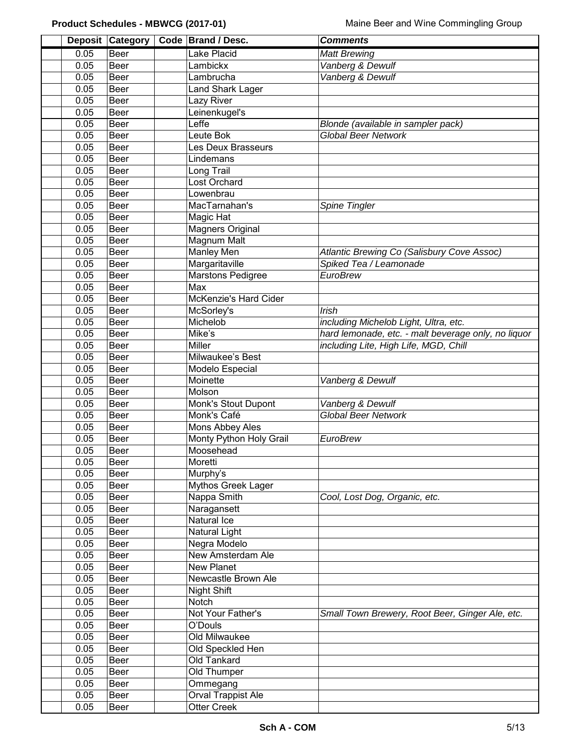|              | Deposit Category | Code Brand / Desc.                 | <b>Comments</b>                                     |
|--------------|------------------|------------------------------------|-----------------------------------------------------|
| 0.05         | Beer             | Lake Placid                        | <b>Matt Brewing</b>                                 |
| 0.05         | <b>Beer</b>      | Lambickx                           | Vanberg & Dewulf                                    |
| 0.05         | Beer             | Lambrucha                          | Vanberg & Dewulf                                    |
| 0.05         | <b>Beer</b>      | <b>Land Shark Lager</b>            |                                                     |
| 0.05         | Beer             | Lazy River                         |                                                     |
| 0.05         | Beer             | Leinenkugel's                      |                                                     |
| 0.05         | Beer             | Leffe                              | Blonde (available in sampler pack)                  |
| 0.05         | Beer             | Leute Bok                          | <b>Global Beer Network</b>                          |
| 0.05         | Beer             | Les Deux Brasseurs                 |                                                     |
| 0.05         | Beer             | Lindemans                          |                                                     |
| 0.05         | Beer             | Long Trail                         |                                                     |
| 0.05         | Beer             | Lost Orchard                       |                                                     |
| 0.05         | Beer             | Lowenbrau                          |                                                     |
| 0.05         | Beer             | MacTarnahan's                      | Spine Tingler                                       |
| 0.05         | Beer             | Magic Hat                          |                                                     |
| 0.05         | Beer             | <b>Magners Original</b>            |                                                     |
| 0.05         | <b>Beer</b>      | Magnum Malt                        |                                                     |
| 0.05         | <b>Beer</b>      | Manley Men                         | Atlantic Brewing Co (Salisbury Cove Assoc)          |
| 0.05         | <b>Beer</b>      | Margaritaville                     | Spiked Tea / Leamonade                              |
| 0.05         | Beer             | Marstons Pedigree                  | <b>EuroBrew</b>                                     |
| 0.05         | <b>Beer</b>      | Max                                |                                                     |
| 0.05         | Beer             | <b>McKenzie's Hard Cider</b>       |                                                     |
| 0.05         | Beer             | McSorley's                         | Irish                                               |
| 0.05         | Beer             | Michelob                           | including Michelob Light, Ultra, etc.               |
| 0.05         | Beer             | Mike's                             | hard lemonade, etc. - malt beverage only, no liquor |
| 0.05         | Beer             | Miller                             | including Lite, High Life, MGD, Chill               |
| 0.05         | Beer             | Milwaukee's Best                   |                                                     |
| 0.05         | Beer             | Modelo Especial                    |                                                     |
| 0.05         | Beer             | Moinette                           | Vanberg & Dewulf                                    |
| 0.05         | Beer             | Molson                             |                                                     |
| 0.05         | Beer             | Monk's Stout Dupont<br>Monk's Café | Vanberg & Dewulf<br><b>Global Beer Network</b>      |
| 0.05<br>0.05 | Beer<br>Beer     | Mons Abbey Ales                    |                                                     |
| 0.05         | Beer             | Monty Python Holy Grail            | <b>EuroBrew</b>                                     |
| 0.05         | Beer             | Moosehead                          |                                                     |
| 0.05         | Beer             | Moretti                            |                                                     |
| 0.05         | Beer             | Murphy's                           |                                                     |
| 0.05         | Beer             | Mythos Greek Lager                 |                                                     |
| 0.05         | Beer             | Nappa Smith                        | Cool, Lost Dog, Organic, etc.                       |
| 0.05         | Beer             | Naragansett                        |                                                     |
| 0.05         | Beer             | Natural Ice                        |                                                     |
| 0.05         | Beer             | Natural Light                      |                                                     |
| 0.05         | Beer             | Negra Modelo                       |                                                     |
| 0.05         | Beer             | New Amsterdam Ale                  |                                                     |
| 0.05         | Beer             | <b>New Planet</b>                  |                                                     |
| 0.05         | Beer             | Newcastle Brown Ale                |                                                     |
| 0.05         | Beer             | Night Shift                        |                                                     |
| 0.05         | Beer             | Notch                              |                                                     |
| 0.05         | Beer             | Not Your Father's                  | Small Town Brewery, Root Beer, Ginger Ale, etc.     |
| 0.05         | Beer             | O'Douls                            |                                                     |
| 0.05         | Beer             | <b>Old Milwaukee</b>               |                                                     |
| 0.05         | Beer             | Old Speckled Hen                   |                                                     |
| 0.05         | Beer             | Old Tankard                        |                                                     |
| 0.05         | Beer             | Old Thumper                        |                                                     |
| 0.05         | Beer             | Ommegang                           |                                                     |
| 0.05         | Beer             | <b>Orval Trappist Ale</b>          |                                                     |
| 0.05         | Beer             | <b>Otter Creek</b>                 |                                                     |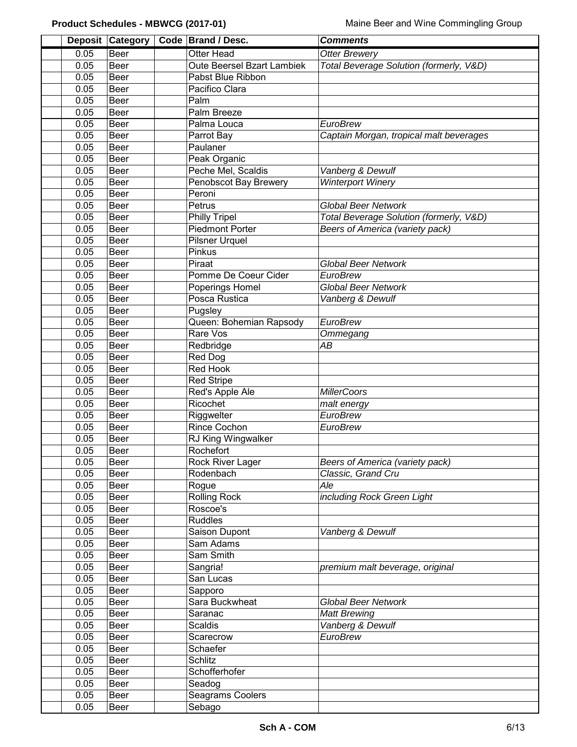|              | Deposit Category    | Code Brand / Desc.         | <b>Comments</b>                         |  |
|--------------|---------------------|----------------------------|-----------------------------------------|--|
| 0.05         | <b>Beer</b>         | <b>Otter Head</b>          | <b>Otter Brewery</b>                    |  |
| 0.05         | <b>Beer</b>         | Oute Beersel Bzart Lambiek | Total Beverage Solution (formerly, V&D) |  |
| 0.05         | <b>Beer</b>         | Pabst Blue Ribbon          |                                         |  |
| 0.05         | <b>Beer</b>         | Pacifico Clara             |                                         |  |
| 0.05         | Beer                | Palm                       |                                         |  |
| 0.05         | <b>Beer</b>         | Palm Breeze                |                                         |  |
| 0.05         | Beer                | Palma Louca                | EuroBrew                                |  |
| 0.05         | Beer                | Parrot Bay                 | Captain Morgan, tropical malt beverages |  |
| 0.05         | Beer                | Paulaner                   |                                         |  |
| 0.05         | <b>Beer</b>         | Peak Organic               |                                         |  |
| 0.05         | Beer                | Peche Mel, Scaldis         | Vanberg & Dewulf                        |  |
| 0.05         | Beer                | Penobscot Bay Brewery      | <b>Winterport Winery</b>                |  |
| 0.05         | Beer                | Peroni                     |                                         |  |
| 0.05         | <b>Beer</b>         | Petrus                     | <b>Global Beer Network</b>              |  |
| 0.05         | <b>Beer</b>         | <b>Philly Tripel</b>       | Total Beverage Solution (formerly, V&D) |  |
| 0.05         | <b>Beer</b>         | <b>Piedmont Porter</b>     | Beers of America (variety pack)         |  |
| 0.05         | <b>Beer</b>         | Pilsner Urquel             |                                         |  |
| 0.05         | <b>Beer</b>         | Pinkus                     |                                         |  |
| 0.05         | Beer                | Piraat                     | <b>Global Beer Network</b>              |  |
| 0.05         | <b>Beer</b>         | Pomme De Coeur Cider       | <b>EuroBrew</b>                         |  |
| 0.05         | <b>Beer</b>         | Poperings Homel            | <b>Global Beer Network</b>              |  |
| 0.05         | <b>Beer</b>         | Posca Rustica              | Vanberg & Dewulf                        |  |
| 0.05         | <b>Beer</b>         | Pugsley                    |                                         |  |
| 0.05         | <b>Beer</b>         | Queen: Bohemian Rapsody    | <b>EuroBrew</b>                         |  |
| 0.05         | Beer                | Rare Vos                   | Ommegang                                |  |
| 0.05<br>0.05 | <b>Beer</b><br>Beer | Redbridge<br>Red Dog       | АB                                      |  |
| 0.05         | Beer                | <b>Red Hook</b>            |                                         |  |
| 0.05         | Beer                | <b>Red Stripe</b>          |                                         |  |
| 0.05         | Beer                | Red's Apple Ale            | <b>MillerCoors</b>                      |  |
| 0.05         | <b>Beer</b>         | Ricochet                   | malt energy                             |  |
| 0.05         | Beer                | Riggwelter                 | <b>EuroBrew</b>                         |  |
| 0.05         | Beer                | <b>Rince Cochon</b>        | <b>EuroBrew</b>                         |  |
| 0.05         | Beer                | RJ King Wingwalker         |                                         |  |
| 0.05         | Beer                | Rochefort                  |                                         |  |
| 0.05         | Beer                | Rock River Lager           | Beers of America (variety pack)         |  |
| 0.05         | Beer                | Rodenbach                  | Classic, Grand Cru                      |  |
| 0.05         | Beer                | Rogue                      | Ale                                     |  |
| 0.05         | Beer                | Rolling Rock               | including Rock Green Light              |  |
| 0.05         | Beer                | Roscoe's                   |                                         |  |
| 0.05         | Beer                | <b>Ruddles</b>             |                                         |  |
| 0.05         | Beer                | Saison Dupont              | Vanberg & Dewulf                        |  |
| 0.05         | Beer                | Sam Adams                  |                                         |  |
| 0.05         | Beer                | Sam Smith                  |                                         |  |
| 0.05         | Beer                | Sangria!                   | premium malt beverage, original         |  |
| 0.05         | Beer                | San Lucas                  |                                         |  |
| 0.05         | Beer                | Sapporo                    |                                         |  |
| 0.05<br>0.05 | Beer<br>Beer        | Sara Buckwheat<br>Saranac  | <b>Global Beer Network</b>              |  |
| 0.05         | Beer                | <b>Scaldis</b>             | <b>Matt Brewing</b><br>Vanberg & Dewulf |  |
| 0.05         | Beer                | Scarecrow                  | EuroBrew                                |  |
| 0.05         | Beer                | Schaefer                   |                                         |  |
| 0.05         | Beer                | Schlitz                    |                                         |  |
| 0.05         | Beer                | Schofferhofer              |                                         |  |
| 0.05         | Beer                | Seadog                     |                                         |  |
| 0.05         | Beer                | Seagrams Coolers           |                                         |  |
| 0.05         | Beer                | Sebago                     |                                         |  |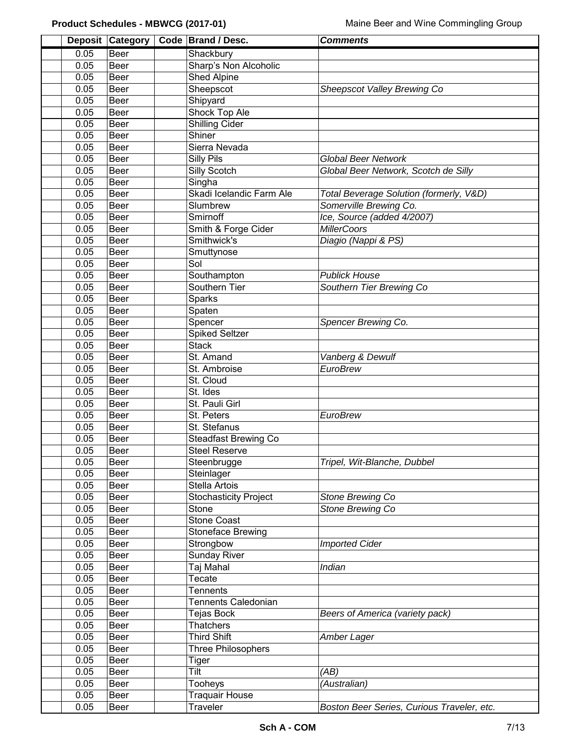|      | Deposit Category | Code Brand / Desc.           | <b>Comments</b>                            |
|------|------------------|------------------------------|--------------------------------------------|
| 0.05 | Beer             | Shackbury                    |                                            |
| 0.05 | <b>Beer</b>      | Sharp's Non Alcoholic        |                                            |
| 0.05 | <b>Beer</b>      | Shed Alpine                  |                                            |
| 0.05 | <b>Beer</b>      | Sheepscot                    | Sheepscot Valley Brewing Co                |
| 0.05 | <b>Beer</b>      | Shipyard                     |                                            |
| 0.05 | <b>Beer</b>      | Shock Top Ale                |                                            |
| 0.05 | <b>Beer</b>      | <b>Shilling Cider</b>        |                                            |
| 0.05 | Beer             | Shiner                       |                                            |
| 0.05 | Beer             | Sierra Nevada                |                                            |
| 0.05 | <b>Beer</b>      | Silly Pils                   | <b>Global Beer Network</b>                 |
| 0.05 | <b>Beer</b>      | Silly Scotch                 | Global Beer Network, Scotch de Silly       |
| 0.05 | <b>Beer</b>      | Singha                       |                                            |
| 0.05 | Beer             | Skadi Icelandic Farm Ale     | Total Beverage Solution (formerly, V&D)    |
| 0.05 | Beer             | Slumbrew                     | Somerville Brewing Co.                     |
| 0.05 | Beer             | Smirnoff                     | Ice, Source (added 4/2007)                 |
| 0.05 | Beer             | Smith & Forge Cider          | <b>MillerCoors</b>                         |
| 0.05 | Beer             | Smithwick's                  | Diagio (Nappi & PS)                        |
| 0.05 | Beer             | Smuttynose                   |                                            |
| 0.05 | <b>Beer</b>      | Sol                          |                                            |
| 0.05 | <b>Beer</b>      | Southampton                  | <b>Publick House</b>                       |
| 0.05 | <b>Beer</b>      | Southern Tier                | Southern Tier Brewing Co                   |
| 0.05 | <b>Beer</b>      | Sparks                       |                                            |
| 0.05 | <b>Beer</b>      | Spaten                       |                                            |
| 0.05 | <b>Beer</b>      | Spencer                      | Spencer Brewing Co.                        |
| 0.05 | <b>Beer</b>      | <b>Spiked Seltzer</b>        |                                            |
| 0.05 | Beer             | <b>Stack</b>                 |                                            |
| 0.05 | <b>Beer</b>      | St. Amand                    | Vanberg & Dewulf                           |
| 0.05 | <b>Beer</b>      | St. Ambroise                 | <b>EuroBrew</b>                            |
| 0.05 | Beer             | St. Cloud                    |                                            |
| 0.05 | Beer             | St. Ides                     |                                            |
| 0.05 | Beer             | St. Pauli Girl               |                                            |
| 0.05 | Beer             | St. Peters                   | <b>EuroBrew</b>                            |
| 0.05 | Beer             | St. Stefanus                 |                                            |
| 0.05 | Beer             | <b>Steadfast Brewing Co</b>  |                                            |
| 0.05 | Beer             | <b>Steel Reserve</b>         |                                            |
| 0.05 | Beer             | Steenbrugge                  | Tripel, Wit-Blanche, Dubbel                |
| 0.05 | Beer             | Steinlager                   |                                            |
| 0.05 | Beer             | Stella Artois                |                                            |
| 0.05 | Beer             | <b>Stochasticity Project</b> | Stone Brewing Co                           |
| 0.05 | Beer             | Stone                        | Stone Brewing Co                           |
| 0.05 | Beer             | <b>Stone Coast</b>           |                                            |
| 0.05 | Beer             | Stoneface Brewing            |                                            |
| 0.05 | Beer             | Strongbow                    | <b>Imported Cider</b>                      |
| 0.05 | Beer             | <b>Sunday River</b>          |                                            |
| 0.05 | Beer             | Taj Mahal                    | Indian                                     |
| 0.05 | Beer             | Tecate                       |                                            |
| 0.05 | Beer             | <b>Tennents</b>              |                                            |
| 0.05 | Beer             | <b>Tennents Caledonian</b>   |                                            |
| 0.05 | Beer             | Tejas Bock                   | Beers of America (variety pack)            |
| 0.05 | Beer             | Thatchers                    |                                            |
| 0.05 | Beer             | <b>Third Shift</b>           | Amber Lager                                |
| 0.05 | Beer             | <b>Three Philosophers</b>    |                                            |
| 0.05 | Beer             | Tiger                        |                                            |
| 0.05 | Beer             | Tilt                         | (AB)                                       |
| 0.05 | Beer             | Tooheys                      | (Australian)                               |
| 0.05 | Beer             | <b>Traquair House</b>        |                                            |
| 0.05 | Beer             | Traveler                     | Boston Beer Series, Curious Traveler, etc. |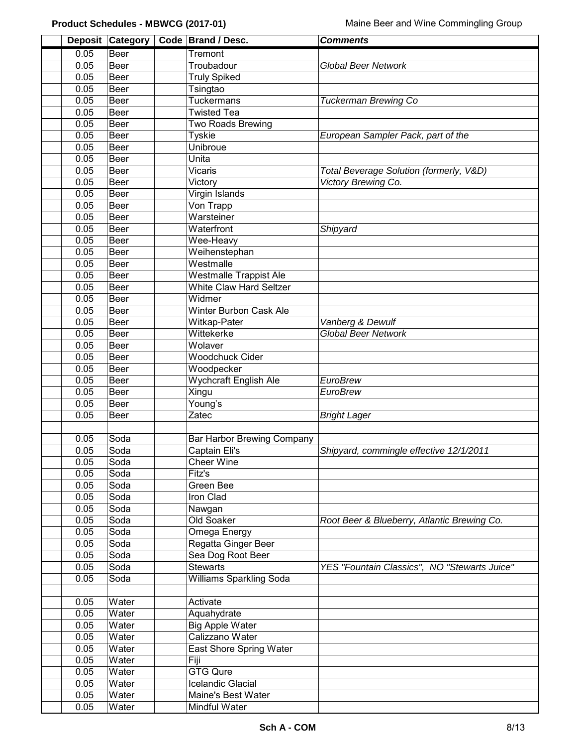|              | Deposit Category | Code Brand / Desc.                        | <b>Comments</b>                              |
|--------------|------------------|-------------------------------------------|----------------------------------------------|
| 0.05         | Beer             | Tremont                                   |                                              |
| 0.05         | Beer             | Troubadour                                | <b>Global Beer Network</b>                   |
| 0.05         | Beer             | <b>Truly Spiked</b>                       |                                              |
| 0.05         | Beer             | Tsingtao                                  |                                              |
| 0.05         | Beer             | Tuckermans                                | <b>Tuckerman Brewing Co</b>                  |
| 0.05         | Beer             | <b>Twisted Tea</b>                        |                                              |
| 0.05         | Beer             | Two Roads Brewing                         |                                              |
| 0.05         | <b>Beer</b>      | Tyskie                                    | European Sampler Pack, part of the           |
| 0.05         | Beer             | Unibroue                                  |                                              |
| 0.05         | Beer             | Unita                                     |                                              |
| 0.05         | Beer             | Vicaris                                   | Total Beverage Solution (formerly, V&D)      |
| 0.05         | <b>Beer</b>      | Victory                                   | Victory Brewing Co.                          |
| 0.05         | <b>Beer</b>      | Virgin Islands                            |                                              |
| 0.05         | <b>Beer</b>      | Von Trapp                                 |                                              |
| 0.05         | Beer             | Warsteiner                                |                                              |
| 0.05         | Beer             | Waterfront                                | Shipyard                                     |
| 0.05         | <b>Beer</b>      | Wee-Heavy                                 |                                              |
| 0.05         | <b>Beer</b>      | Weihenstephan                             |                                              |
| 0.05         | <b>Beer</b>      | Westmalle                                 |                                              |
| 0.05         | Beer             | <b>Westmalle Trappist Ale</b>             |                                              |
| 0.05         | Beer             | <b>White Claw Hard Seltzer</b>            |                                              |
| 0.05         | Beer             | Widmer                                    |                                              |
| 0.05         | Beer             | Winter Burbon Cask Ale                    |                                              |
| 0.05         | Beer             | Witkap-Pater                              | Vanberg & Dewulf                             |
| 0.05         | Beer             | Wittekerke                                | <b>Global Beer Network</b>                   |
| 0.05         | Beer             | Wolaver                                   |                                              |
| 0.05         | Beer             | <b>Woodchuck Cider</b>                    |                                              |
| 0.05         | Beer             | Woodpecker                                |                                              |
| 0.05         | <b>Beer</b>      | Wychcraft English Ale                     | EuroBrew                                     |
| 0.05         | <b>Beer</b>      | Xingu                                     | EuroBrew                                     |
| 0.05         | Beer             | Young's                                   |                                              |
| 0.05         | Beer             | Zatec                                     | <b>Bright Lager</b>                          |
|              |                  |                                           |                                              |
| 0.05         | Soda             | <b>Bar Harbor Brewing Company</b>         |                                              |
| 0.05         | Soda             | Captain Eli's                             | Shipyard, commingle effective 12/1/2011      |
| 0.05         | Soda             | <b>Cheer Wine</b>                         |                                              |
| 0.05         | Soda             | Fitz's                                    |                                              |
| 0.05         | Soda             | Green Bee                                 |                                              |
| 0.05         | Soda             | Iron Clad                                 |                                              |
| 0.05         | Soda             | Nawgan                                    |                                              |
| 0.05         | Soda             | Old Soaker                                | Root Beer & Blueberry, Atlantic Brewing Co.  |
| 0.05         | Soda             | Omega Energy                              |                                              |
| 0.05         | Soda             | Regatta Ginger Beer                       |                                              |
| 0.05         | Soda             | Sea Dog Root Beer                         |                                              |
| 0.05         | Soda             | <b>Stewarts</b>                           | YES "Fountain Classics", NO "Stewarts Juice" |
| 0.05         | Soda             | <b>Williams Sparkling Soda</b>            |                                              |
|              | Water            | Activate                                  |                                              |
| 0.05         |                  |                                           |                                              |
| 0.05<br>0.05 | Water<br>Water   | Aquahydrate                               |                                              |
| 0.05         | Water            | <b>Big Apple Water</b><br>Calizzano Water |                                              |
| 0.05         | Water            | East Shore Spring Water                   |                                              |
| 0.05         | Water            | Fiji                                      |                                              |
| 0.05         | Water            | <b>GTG Qure</b>                           |                                              |
| 0.05         | Water            | Icelandic Glacial                         |                                              |
| 0.05         | Water            | Maine's Best Water                        |                                              |
|              |                  |                                           |                                              |
| 0.05         | Water            | Mindful Water                             |                                              |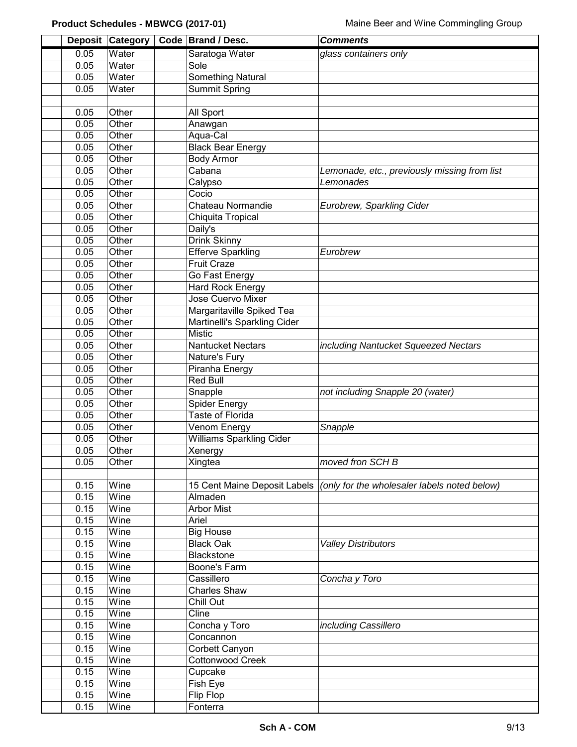|      | Deposit Category | Code Brand / Desc.              | <b>Comments</b>                              |
|------|------------------|---------------------------------|----------------------------------------------|
| 0.05 | Water            | Saratoga Water                  | glass containers only                        |
| 0.05 | Water            | Sole                            |                                              |
| 0.05 | Water            | <b>Something Natural</b>        |                                              |
| 0.05 | Water            | <b>Summit Spring</b>            |                                              |
|      |                  |                                 |                                              |
| 0.05 | Other            | All Sport                       |                                              |
| 0.05 | Other            | Anawgan                         |                                              |
| 0.05 | Other            | Aqua-Cal                        |                                              |
| 0.05 | Other            | <b>Black Bear Energy</b>        |                                              |
| 0.05 | Other            | <b>Body Armor</b>               |                                              |
| 0.05 | Other            | Cabana                          | Lemonade, etc., previously missing from list |
| 0.05 | Other            | Calypso                         | Lemonades                                    |
| 0.05 | Other            | Cocio                           |                                              |
| 0.05 | Other            | Chateau Normandie               | Eurobrew, Sparkling Cider                    |
| 0.05 | Other            | Chiquita Tropical               |                                              |
| 0.05 | Other            | Daily's                         |                                              |
| 0.05 | Other            | <b>Drink Skinny</b>             |                                              |
| 0.05 | Other            | <b>Efferve Sparkling</b>        | Eurobrew                                     |
| 0.05 | Other            | <b>Fruit Craze</b>              |                                              |
| 0.05 | Other            | Go Fast Energy                  |                                              |
| 0.05 | Other            | <b>Hard Rock Energy</b>         |                                              |
| 0.05 | Other            | <b>Jose Cuervo Mixer</b>        |                                              |
| 0.05 | Other            | Margaritaville Spiked Tea       |                                              |
| 0.05 | Other            | Martinelli's Sparkling Cider    |                                              |
| 0.05 | Other            | <b>Mistic</b>                   |                                              |
| 0.05 | Other            | <b>Nantucket Nectars</b>        | including Nantucket Squeezed Nectars         |
| 0.05 | Other            | Nature's Fury                   |                                              |
| 0.05 | Other            | Piranha Energy                  |                                              |
| 0.05 | Other            | <b>Red Bull</b>                 |                                              |
| 0.05 | Other            | Snapple                         | not including Snapple 20 (water)             |
| 0.05 | Other            | <b>Spider Energy</b>            |                                              |
| 0.05 | Other            | Taste of Florida                |                                              |
| 0.05 | Other            | Venom Energy                    | Snapple                                      |
| 0.05 | Other            | <b>Williams Sparkling Cider</b> |                                              |
| 0.05 | Other            | Xenergy                         |                                              |
| 0.05 | Other            | Xingtea                         | moved fron SCH B                             |
|      |                  |                                 |                                              |
| 0.15 | Wine             | 15 Cent Maine Deposit Labels    | (only for the wholesaler labels noted below) |
| 0.15 | Wine             | Almaden                         |                                              |
| 0.15 | Wine             | <b>Arbor Mist</b>               |                                              |
| 0.15 | Wine             | Ariel                           |                                              |
| 0.15 | Wine             | <b>Big House</b>                |                                              |
| 0.15 | Wine             | <b>Black Oak</b>                | <b>Valley Distributors</b>                   |
| 0.15 | Wine             | <b>Blackstone</b>               |                                              |
| 0.15 | Wine             | Boone's Farm                    |                                              |
| 0.15 | Wine             | Cassillero                      | Concha y Toro                                |
| 0.15 | Wine             | <b>Charles Shaw</b>             |                                              |
| 0.15 | Wine             | Chill Out                       |                                              |
| 0.15 | Wine             | Cline                           |                                              |
| 0.15 | Wine             | Concha y Toro                   | including Cassillero                         |
| 0.15 | Wine             | Concannon                       |                                              |
| 0.15 | Wine             | Corbett Canyon                  |                                              |
| 0.15 | Wine             | <b>Cottonwood Creek</b>         |                                              |
| 0.15 | Wine             | Cupcake                         |                                              |
| 0.15 | Wine             | Fish Eye                        |                                              |
| 0.15 | Wine             | Flip Flop                       |                                              |
| 0.15 | Wine             | Fonterra                        |                                              |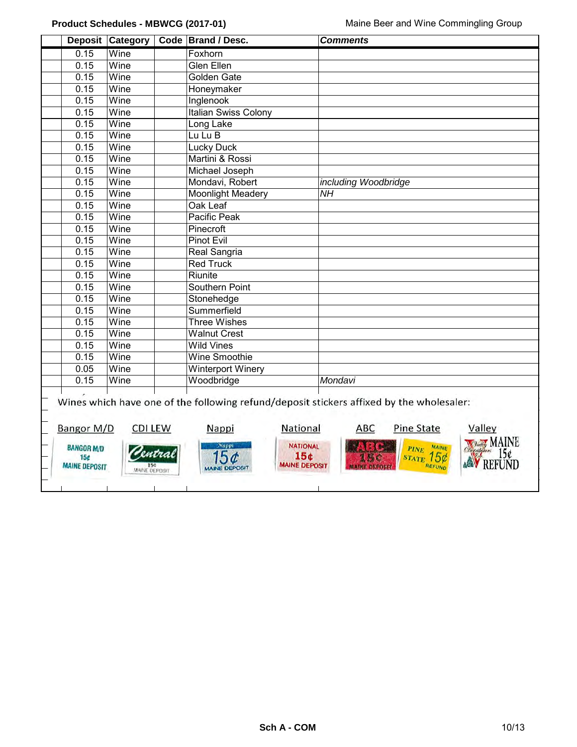|                                                                            | Deposit Category                       |      | Code Brand / Desc.                                                                          | <b>Comments</b>                                                                                                                                                                                                             |
|----------------------------------------------------------------------------|----------------------------------------|------|---------------------------------------------------------------------------------------------|-----------------------------------------------------------------------------------------------------------------------------------------------------------------------------------------------------------------------------|
| 0.15                                                                       | Wine                                   |      | Foxhorn                                                                                     |                                                                                                                                                                                                                             |
| 0.15                                                                       | Wine                                   |      | <b>Glen Ellen</b>                                                                           |                                                                                                                                                                                                                             |
| 0.15                                                                       | Wine                                   |      | Golden Gate                                                                                 |                                                                                                                                                                                                                             |
| 0.15                                                                       | Wine                                   |      | Honeymaker                                                                                  |                                                                                                                                                                                                                             |
| 0.15                                                                       | Wine                                   |      | Inglenook                                                                                   |                                                                                                                                                                                                                             |
| 0.15                                                                       | Wine                                   |      | Italian Swiss Colony                                                                        |                                                                                                                                                                                                                             |
| 0.15                                                                       | Wine                                   |      | Long Lake                                                                                   |                                                                                                                                                                                                                             |
| 0.15                                                                       | Wine                                   |      | Lu Lu B                                                                                     |                                                                                                                                                                                                                             |
| 0.15                                                                       | Wine                                   |      | <b>Lucky Duck</b>                                                                           |                                                                                                                                                                                                                             |
| 0.15                                                                       | Wine                                   |      | Martini & Rossi                                                                             |                                                                                                                                                                                                                             |
| 0.15                                                                       | Wine                                   |      | Michael Joseph                                                                              |                                                                                                                                                                                                                             |
| 0.15                                                                       | Wine                                   |      | Mondavi, Robert                                                                             | including Woodbridge                                                                                                                                                                                                        |
| 0.15                                                                       | Wine                                   |      | <b>Moonlight Meadery</b>                                                                    | <b>NH</b>                                                                                                                                                                                                                   |
| 0.15                                                                       | Wine                                   |      | Oak Leaf                                                                                    |                                                                                                                                                                                                                             |
| 0.15                                                                       | Wine                                   |      | Pacific Peak                                                                                |                                                                                                                                                                                                                             |
| 0.15                                                                       | Wine                                   |      | Pinecroft                                                                                   |                                                                                                                                                                                                                             |
| 0.15                                                                       | Wine                                   |      | <b>Pinot Evil</b>                                                                           |                                                                                                                                                                                                                             |
| 0.15                                                                       | $\overline{\mathsf{W}}$ ine            |      | <b>Real Sangria</b>                                                                         |                                                                                                                                                                                                                             |
| 0.15                                                                       | Wine                                   |      | <b>Red Truck</b>                                                                            |                                                                                                                                                                                                                             |
| 0.15                                                                       | Wine                                   |      | Riunite                                                                                     |                                                                                                                                                                                                                             |
| 0.15                                                                       | Wine                                   |      | <b>Southern Point</b>                                                                       |                                                                                                                                                                                                                             |
| 0.15                                                                       | Wine                                   |      | Stonehedge                                                                                  |                                                                                                                                                                                                                             |
| 0.15                                                                       | Wine                                   |      | Summerfield                                                                                 |                                                                                                                                                                                                                             |
| 0.15                                                                       | Wine                                   |      | <b>Three Wishes</b>                                                                         |                                                                                                                                                                                                                             |
| 0.15                                                                       | Wine                                   |      | <b>Walnut Crest</b>                                                                         |                                                                                                                                                                                                                             |
| 0.15                                                                       | Wine                                   |      | <b>Wild Vines</b>                                                                           |                                                                                                                                                                                                                             |
| 0.15                                                                       | Wine                                   |      | Wine Smoothie                                                                               |                                                                                                                                                                                                                             |
| 0.05                                                                       | Wine                                   |      | <b>Winterport Winery</b>                                                                    |                                                                                                                                                                                                                             |
| 0.15                                                                       | Wine                                   |      | Woodbridge                                                                                  | Mondavi                                                                                                                                                                                                                     |
| Bangor M/D<br><b>BANGOR M/D</b><br>15 <sub>c</sub><br><b>MAINE DEPOSIT</b> | <b>CDI LEW</b><br><b>MAINE DEPOSIT</b> | wtra | National<br>Nappi<br><b>NATIONAL</b><br>Nappi<br>15¢<br><b>MAINE DEPOSIT</b><br>INE DEPOSIT | Wines which have one of the following refund/deposit stickers affixed by the wholesaler:<br><b>Pine State</b><br>Valley<br><b>ABC</b><br><b>NOraldy MAINE</b><br>PINE MAINE<br>150<br><b>REFUNI</b><br>REFUND<br>AVER DECOR |
|                                                                            |                                        |      |                                                                                             |                                                                                                                                                                                                                             |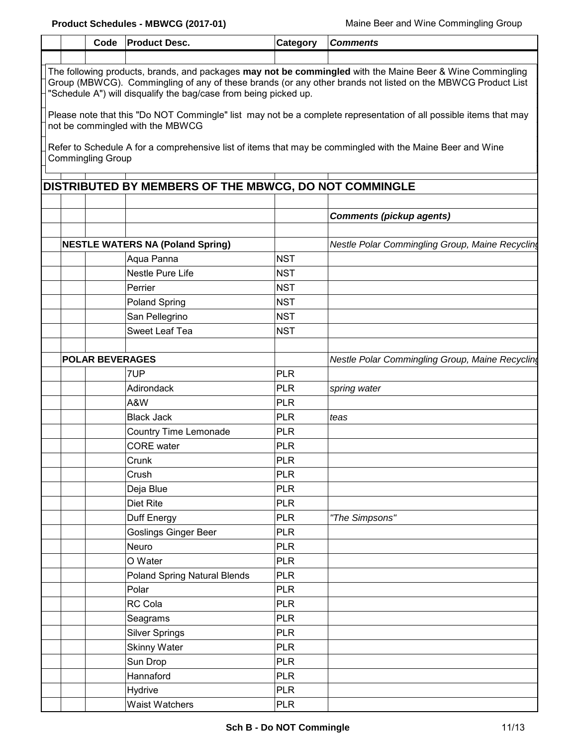|                                                                                                                                                                                                                                                                                              | Code                   | <b>Product Desc.</b>                                  | Category   | <b>Comments</b>                                 |  |  |  |  |  |  |  |
|----------------------------------------------------------------------------------------------------------------------------------------------------------------------------------------------------------------------------------------------------------------------------------------------|------------------------|-------------------------------------------------------|------------|-------------------------------------------------|--|--|--|--|--|--|--|
|                                                                                                                                                                                                                                                                                              |                        |                                                       |            |                                                 |  |  |  |  |  |  |  |
| The following products, brands, and packages may not be commingled with the Maine Beer & Wine Commingling<br>Group (MBWCG). Commingling of any of these brands (or any other brands not listed on the MBWCG Product List<br>"Schedule A") will disqualify the bag/case from being picked up. |                        |                                                       |            |                                                 |  |  |  |  |  |  |  |
| Please note that this "Do NOT Commingle" list may not be a complete representation of all possible items that may<br>not be commingled with the MBWCG                                                                                                                                        |                        |                                                       |            |                                                 |  |  |  |  |  |  |  |
| Refer to Schedule A for a comprehensive list of items that may be commingled with the Maine Beer and Wine<br><b>Commingling Group</b>                                                                                                                                                        |                        |                                                       |            |                                                 |  |  |  |  |  |  |  |
|                                                                                                                                                                                                                                                                                              |                        |                                                       |            |                                                 |  |  |  |  |  |  |  |
|                                                                                                                                                                                                                                                                                              |                        | DISTRIBUTED BY MEMBERS OF THE MBWCG, DO NOT COMMINGLE |            |                                                 |  |  |  |  |  |  |  |
|                                                                                                                                                                                                                                                                                              |                        |                                                       |            |                                                 |  |  |  |  |  |  |  |
|                                                                                                                                                                                                                                                                                              |                        |                                                       |            | <b>Comments (pickup agents)</b>                 |  |  |  |  |  |  |  |
|                                                                                                                                                                                                                                                                                              |                        | <b>NESTLE WATERS NA (Poland Spring)</b>               |            | Nestle Polar Commingling Group, Maine Recycling |  |  |  |  |  |  |  |
|                                                                                                                                                                                                                                                                                              |                        | Aqua Panna                                            | <b>NST</b> |                                                 |  |  |  |  |  |  |  |
|                                                                                                                                                                                                                                                                                              |                        | Nestle Pure Life                                      | <b>NST</b> |                                                 |  |  |  |  |  |  |  |
|                                                                                                                                                                                                                                                                                              |                        | Perrier                                               | <b>NST</b> |                                                 |  |  |  |  |  |  |  |
|                                                                                                                                                                                                                                                                                              |                        | <b>Poland Spring</b>                                  | <b>NST</b> |                                                 |  |  |  |  |  |  |  |
|                                                                                                                                                                                                                                                                                              |                        | San Pellegrino                                        | <b>NST</b> |                                                 |  |  |  |  |  |  |  |
|                                                                                                                                                                                                                                                                                              |                        | <b>Sweet Leaf Tea</b>                                 | <b>NST</b> |                                                 |  |  |  |  |  |  |  |
|                                                                                                                                                                                                                                                                                              |                        |                                                       |            |                                                 |  |  |  |  |  |  |  |
|                                                                                                                                                                                                                                                                                              | <b>POLAR BEVERAGES</b> |                                                       |            | Nestle Polar Commingling Group, Maine Recycling |  |  |  |  |  |  |  |
|                                                                                                                                                                                                                                                                                              |                        | 7UP                                                   | <b>PLR</b> |                                                 |  |  |  |  |  |  |  |
|                                                                                                                                                                                                                                                                                              |                        | Adirondack                                            | <b>PLR</b> | spring water                                    |  |  |  |  |  |  |  |
|                                                                                                                                                                                                                                                                                              |                        | A&W                                                   | <b>PLR</b> |                                                 |  |  |  |  |  |  |  |
|                                                                                                                                                                                                                                                                                              |                        | <b>Black Jack</b>                                     | <b>PLR</b> | teas                                            |  |  |  |  |  |  |  |
|                                                                                                                                                                                                                                                                                              |                        | <b>Country Time Lemonade</b>                          | <b>PLR</b> |                                                 |  |  |  |  |  |  |  |
|                                                                                                                                                                                                                                                                                              |                        | <b>CORE</b> water                                     | <b>PLR</b> |                                                 |  |  |  |  |  |  |  |
|                                                                                                                                                                                                                                                                                              |                        | Crunk                                                 | <b>PLR</b> |                                                 |  |  |  |  |  |  |  |
|                                                                                                                                                                                                                                                                                              |                        | Crush                                                 | <b>PLR</b> |                                                 |  |  |  |  |  |  |  |
|                                                                                                                                                                                                                                                                                              |                        | Deja Blue                                             | <b>PLR</b> |                                                 |  |  |  |  |  |  |  |
|                                                                                                                                                                                                                                                                                              |                        | <b>Diet Rite</b>                                      | <b>PLR</b> |                                                 |  |  |  |  |  |  |  |
|                                                                                                                                                                                                                                                                                              |                        | Duff Energy                                           | <b>PLR</b> | "The Simpsons"                                  |  |  |  |  |  |  |  |
|                                                                                                                                                                                                                                                                                              |                        | <b>Goslings Ginger Beer</b>                           | <b>PLR</b> |                                                 |  |  |  |  |  |  |  |
|                                                                                                                                                                                                                                                                                              |                        | Neuro                                                 | <b>PLR</b> |                                                 |  |  |  |  |  |  |  |
|                                                                                                                                                                                                                                                                                              |                        | O Water                                               | <b>PLR</b> |                                                 |  |  |  |  |  |  |  |
|                                                                                                                                                                                                                                                                                              |                        | <b>Poland Spring Natural Blends</b>                   | <b>PLR</b> |                                                 |  |  |  |  |  |  |  |
|                                                                                                                                                                                                                                                                                              |                        | Polar                                                 | <b>PLR</b> |                                                 |  |  |  |  |  |  |  |
|                                                                                                                                                                                                                                                                                              |                        | RC Cola                                               | <b>PLR</b> |                                                 |  |  |  |  |  |  |  |
|                                                                                                                                                                                                                                                                                              |                        | Seagrams                                              | <b>PLR</b> |                                                 |  |  |  |  |  |  |  |
|                                                                                                                                                                                                                                                                                              |                        | <b>Silver Springs</b>                                 | <b>PLR</b> |                                                 |  |  |  |  |  |  |  |
|                                                                                                                                                                                                                                                                                              |                        | <b>Skinny Water</b>                                   | <b>PLR</b> |                                                 |  |  |  |  |  |  |  |
|                                                                                                                                                                                                                                                                                              |                        | Sun Drop                                              | <b>PLR</b> |                                                 |  |  |  |  |  |  |  |
|                                                                                                                                                                                                                                                                                              |                        | Hannaford                                             | <b>PLR</b> |                                                 |  |  |  |  |  |  |  |
|                                                                                                                                                                                                                                                                                              |                        | Hydrive                                               | <b>PLR</b> |                                                 |  |  |  |  |  |  |  |
|                                                                                                                                                                                                                                                                                              |                        | Waist Watchers                                        | <b>PLR</b> |                                                 |  |  |  |  |  |  |  |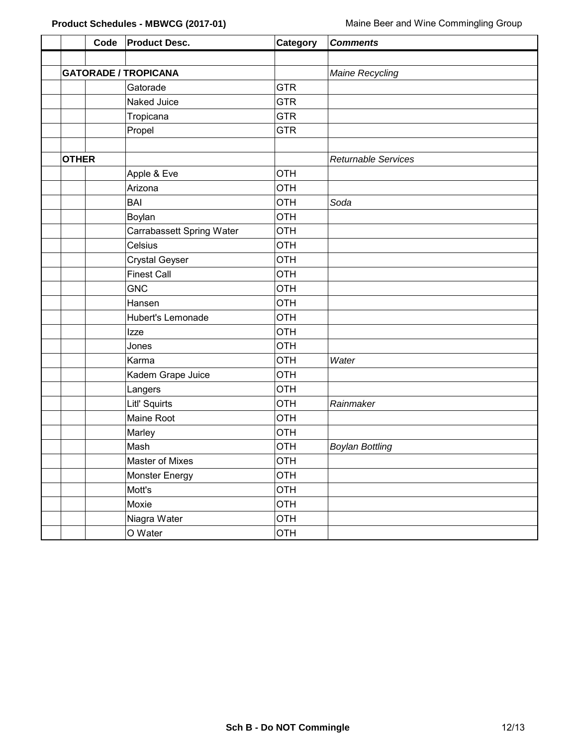|              | Code | <b>Product Desc.</b>        | Category   | <b>Comments</b>            |
|--------------|------|-----------------------------|------------|----------------------------|
|              |      |                             |            |                            |
|              |      | <b>GATORADE / TROPICANA</b> |            | Maine Recycling            |
|              |      | Gatorade                    | <b>GTR</b> |                            |
|              |      | Naked Juice                 | <b>GTR</b> |                            |
|              |      | Tropicana                   | <b>GTR</b> |                            |
|              |      | Propel                      | <b>GTR</b> |                            |
|              |      |                             |            |                            |
| <b>OTHER</b> |      |                             |            | <b>Returnable Services</b> |
|              |      | Apple & Eve                 | <b>OTH</b> |                            |
|              |      | Arizona                     | <b>OTH</b> |                            |
|              |      | <b>BAI</b>                  | <b>OTH</b> | Soda                       |
|              |      | Boylan                      | <b>OTH</b> |                            |
|              |      | Carrabassett Spring Water   | <b>OTH</b> |                            |
|              |      | Celsius                     | <b>OTH</b> |                            |
|              |      | <b>Crystal Geyser</b>       | <b>OTH</b> |                            |
|              |      | <b>Finest Call</b>          | <b>OTH</b> |                            |
|              |      | <b>GNC</b>                  | <b>OTH</b> |                            |
|              |      | Hansen                      | <b>OTH</b> |                            |
|              |      | Hubert's Lemonade           | <b>OTH</b> |                            |
|              |      | Izze                        | <b>OTH</b> |                            |
|              |      | Jones                       | <b>OTH</b> |                            |
|              |      | Karma                       | <b>OTH</b> | Water                      |
|              |      | Kadem Grape Juice           | <b>OTH</b> |                            |
|              |      | Langers                     | <b>OTH</b> |                            |
|              |      | Litl' Squirts               | <b>OTH</b> | Rainmaker                  |
|              |      | Maine Root                  | <b>OTH</b> |                            |
|              |      | Marley                      | <b>OTH</b> |                            |
|              |      | Mash                        | <b>OTH</b> | <b>Boylan Bottling</b>     |
|              |      | Master of Mixes             | <b>OTH</b> |                            |
|              |      | <b>Monster Energy</b>       | <b>OTH</b> |                            |
|              |      | Mott's                      | <b>OTH</b> |                            |
|              |      | Moxie                       | <b>OTH</b> |                            |
|              |      | Niagra Water                | <b>OTH</b> |                            |
|              |      | O Water                     | <b>OTH</b> |                            |